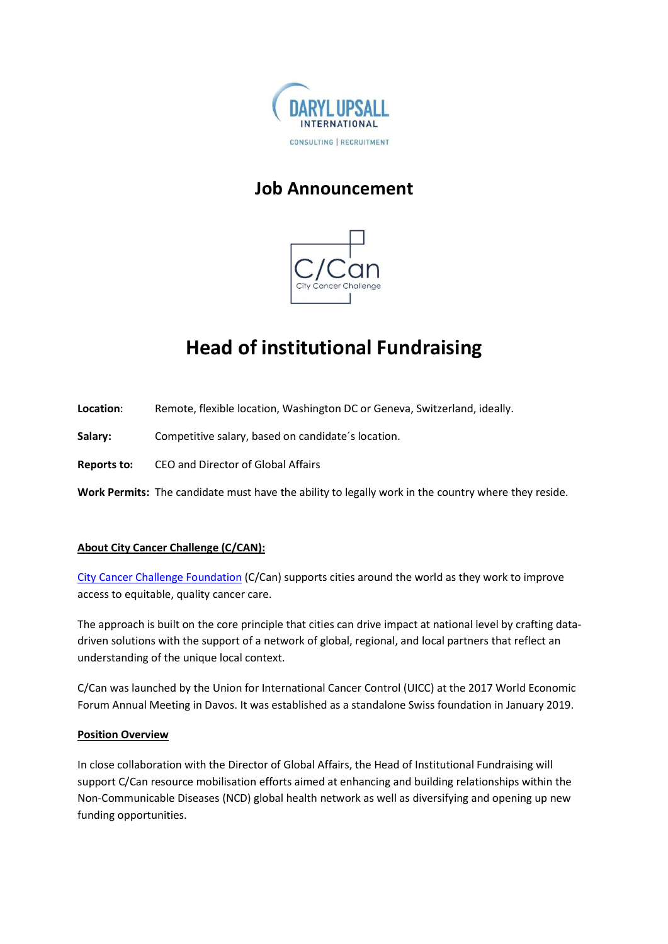

## Job Announcement



# Head of institutional Fundraising

Location: Remote, flexible location, Washington DC or Geneva, Switzerland, ideally.

Salary: Competitive salary, based on candidate's location.

Reports to: CEO and Director of Global Affairs

Work Permits: The candidate must have the ability to legally work in the country where they reside.

### About City Cancer Challenge (C/CAN):

City Cancer Challenge Foundation (C/Can) supports cities around the world as they work to improve access to equitable, quality cancer care.

The approach is built on the core principle that cities can drive impact at national level by crafting datadriven solutions with the support of a network of global, regional, and local partners that reflect an understanding of the unique local context.

C/Can was launched by the Union for International Cancer Control (UICC) at the 2017 World Economic Forum Annual Meeting in Davos. It was established as a standalone Swiss foundation in January 2019.

#### Position Overview

In close collaboration with the Director of Global Affairs, the Head of Institutional Fundraising will support C/Can resource mobilisation efforts aimed at enhancing and building relationships within the Non-Communicable Diseases (NCD) global health network as well as diversifying and opening up new funding opportunities.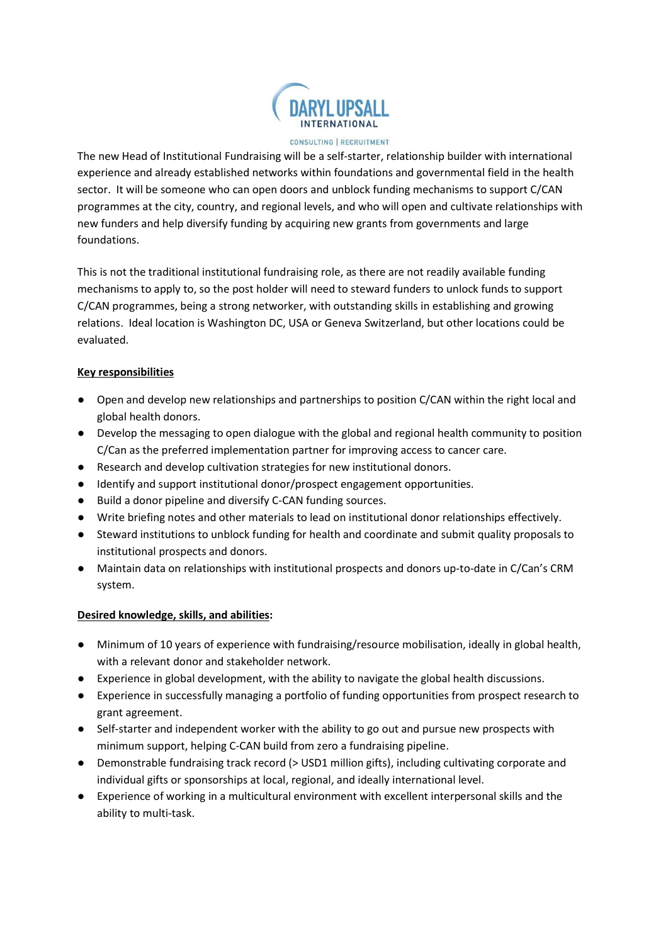

#### CONSULTING | RECRUITMENT

The new Head of Institutional Fundraising will be a self-starter, relationship builder with international experience and already established networks within foundations and governmental field in the health sector. It will be someone who can open doors and unblock funding mechanisms to support C/CAN programmes at the city, country, and regional levels, and who will open and cultivate relationships with new funders and help diversify funding by acquiring new grants from governments and large foundations.

This is not the traditional institutional fundraising role, as there are not readily available funding mechanisms to apply to, so the post holder will need to steward funders to unlock funds to support C/CAN programmes, being a strong networker, with outstanding skills in establishing and growing relations. Ideal location is Washington DC, USA or Geneva Switzerland, but other locations could be evaluated.

#### Key responsibilities

- Open and develop new relationships and partnerships to position C/CAN within the right local and global health donors.
- Develop the messaging to open dialogue with the global and regional health community to position C/Can as the preferred implementation partner for improving access to cancer care.
- Research and develop cultivation strategies for new institutional donors.
- Identify and support institutional donor/prospect engagement opportunities.
- Build a donor pipeline and diversify C-CAN funding sources.
- Write briefing notes and other materials to lead on institutional donor relationships effectively.
- Steward institutions to unblock funding for health and coordinate and submit quality proposals to institutional prospects and donors.
- Maintain data on relationships with institutional prospects and donors up-to-date in C/Can's CRM system.

#### Desired knowledge, skills, and abilities:

- Minimum of 10 years of experience with fundraising/resource mobilisation, ideally in global health, with a relevant donor and stakeholder network.
- Experience in global development, with the ability to navigate the global health discussions.
- Experience in successfully managing a portfolio of funding opportunities from prospect research to grant agreement.
- Self-starter and independent worker with the ability to go out and pursue new prospects with minimum support, helping C-CAN build from zero a fundraising pipeline.
- Demonstrable fundraising track record (> USD1 million gifts), including cultivating corporate and individual gifts or sponsorships at local, regional, and ideally international level.
- Experience of working in a multicultural environment with excellent interpersonal skills and the ability to multi-task.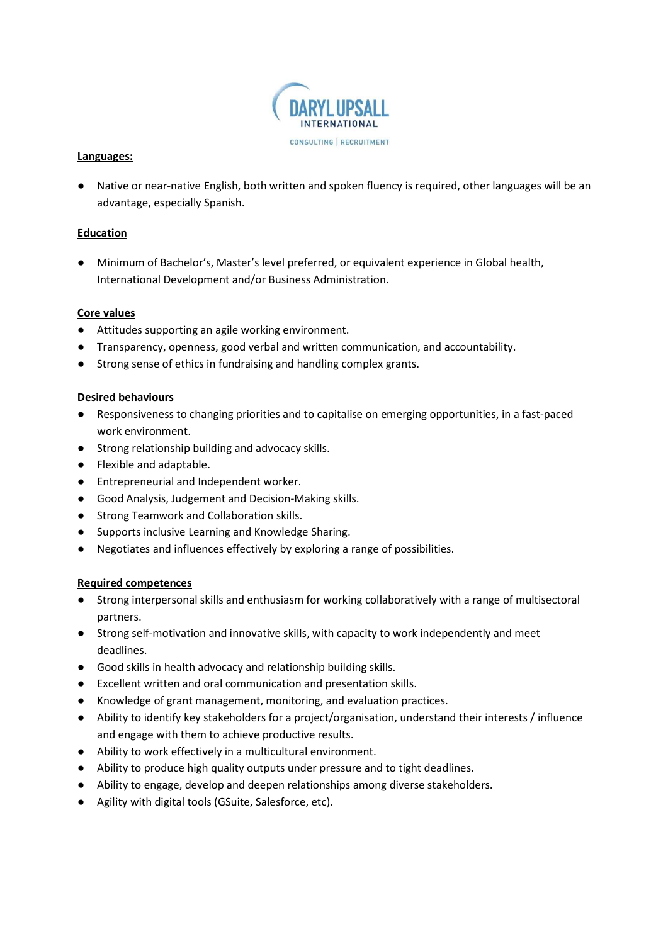

#### Languages:

● Native or near-native English, both written and spoken fluency is required, other languages will be an advantage, especially Spanish.

#### **Education**

● Minimum of Bachelor's, Master's level preferred, or equivalent experience in Global health, International Development and/or Business Administration.

#### Core values

- Attitudes supporting an agile working environment.
- Transparency, openness, good verbal and written communication, and accountability.
- Strong sense of ethics in fundraising and handling complex grants.

#### Desired behaviours

- Responsiveness to changing priorities and to capitalise on emerging opportunities, in a fast-paced work environment.
- Strong relationship building and advocacy skills.
- Flexible and adaptable.
- Entrepreneurial and Independent worker.
- Good Analysis, Judgement and Decision-Making skills.
- Strong Teamwork and Collaboration skills.
- Supports inclusive Learning and Knowledge Sharing.
- Negotiates and influences effectively by exploring a range of possibilities.

#### Required competences

- Strong interpersonal skills and enthusiasm for working collaboratively with a range of multisectoral partners.
- Strong self-motivation and innovative skills, with capacity to work independently and meet deadlines.
- Good skills in health advocacy and relationship building skills.
- Excellent written and oral communication and presentation skills.
- Knowledge of grant management, monitoring, and evaluation practices.
- Ability to identify key stakeholders for a project/organisation, understand their interests / influence and engage with them to achieve productive results.
- Ability to work effectively in a multicultural environment.
- Ability to produce high quality outputs under pressure and to tight deadlines.
- Ability to engage, develop and deepen relationships among diverse stakeholders.
- Agility with digital tools (GSuite, Salesforce, etc).